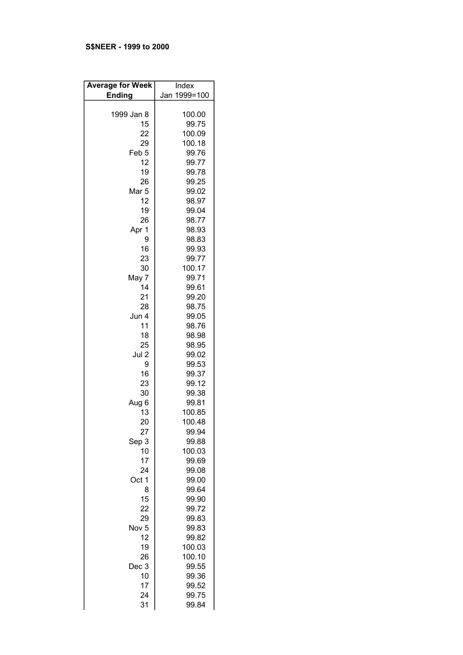## S\$NEER - 1999 to 2000

| <b>Average for Week</b> | Index        |
|-------------------------|--------------|
| <b>Ending</b>           | Jan 1999=100 |
|                         |              |
| 1999 Jan 8              | 100.00       |
| 15                      | 99.75        |
| 22                      | 100.09       |
| 29                      | 100.18       |
| Feb <sub>5</sub>        | 99.76        |
| 12                      | 99.77        |
| 19                      | 99.78        |
| 26                      | 99.25        |
| Mar <sub>5</sub>        | 99.02        |
| 12                      | 98.97        |
| 19                      | 99.04        |
| 26                      | 98.77        |
| Apr 1                   | 98.93        |
| 9                       | 98.83        |
| 16                      | 99.93        |
| 23                      | 99.77        |
| 30                      | 100.17       |
| May 7                   | 99.71        |
| 14                      | 99.61        |
| 21                      | 99.20        |
| 28                      | 98.75        |
| Jun 4                   | 99.05        |
| 11                      | 98.76        |
| 18                      |              |
|                         | 98.98        |
| 25                      | 98.95        |
| Jul 2                   | 99.02        |
| 9                       | 99.53        |
| 16                      | 99.37        |
| 23                      | 99.12        |
| 30                      | 99.38        |
| Aug 6                   | 99.81        |
| 13                      | 100.85       |
| 20                      | 100.48       |
| 27                      | 99.94        |
| Sep 3                   | 99.88        |
| 10                      | 100.03       |
| 17                      | 99.69        |
| 24                      | 99.08        |
| Oct 1                   | 99.00        |
| 8                       | 99.64        |
| 15                      | 99.90        |
| 22                      | 99.72        |
| 29                      | 99.83        |
| Nov <sub>5</sub>        | 99.83        |
| 12                      | 99.82        |
| 19                      | 100.03       |
| 26                      | 100.10       |
| Dec 3                   | 99.55        |
| 10                      | 99.36        |
| 17                      | 99.52        |
| 24                      | 99.75        |
| 31                      | 99.84        |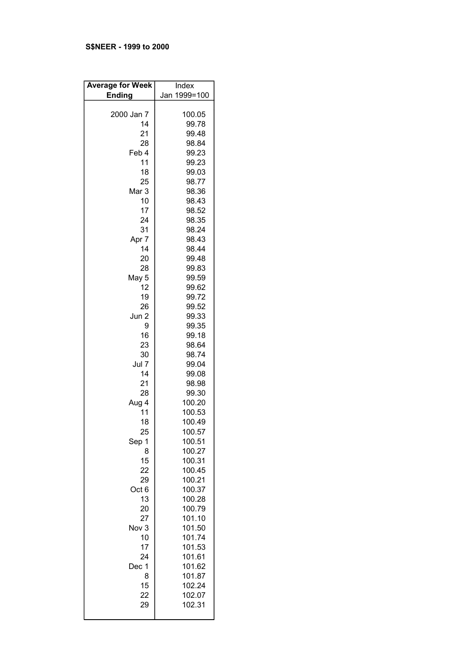# S\$NEER - 1999 to 2000

| <b>Average for Week</b> | Index          |
|-------------------------|----------------|
| <b>Ending</b>           | Jan 1999=100   |
|                         |                |
| 2000 Jan 7              | 100.05         |
| 14                      | 99.78          |
| 21                      | 99.48          |
| 28                      | 98.84          |
| Feb 4                   | 99.23          |
| 11                      | 99.23          |
| 18                      | 99.03          |
| 25                      | 98.77          |
| Mar 3                   | 98.36          |
| 10                      | 98.43          |
| 17                      | 98.52          |
| 24                      | 98.35          |
| 31                      | 98.24          |
| Apr 7                   | 98.43          |
| 14                      | 98.44          |
| 20                      | 99.48          |
| 28                      | 99.83          |
| May 5                   | 99.59          |
| 12                      | 99.62          |
| 19                      | 99.72          |
| 26                      | 99.52          |
| Jun 2                   | 99.33          |
| 9                       | 99.35          |
| 16                      |                |
|                         | 99.18          |
| 23                      | 98.64          |
| 30<br>Jul 7             | 98.74          |
| 14                      | 99.04          |
| 21                      | 99.08          |
| 28                      | 98.98<br>99.30 |
|                         |                |
| Aug 4                   | 100.20         |
| 11                      | 100.53         |
| 18                      | 100.49         |
| 25                      | 100.57         |
| Sep 1                   | 100.51         |
| 8                       | 100.27         |
| 15                      | 100.31         |
| 22                      | 100.45         |
| 29                      | 100.21         |
| Oct 6                   | 100.37         |
| 13                      | 100.28         |
| 20                      | 100.79         |
| 27                      | 101.10         |
| Nov 3                   | 101.50         |
| 10                      | 101.74         |
| 17                      | 101.53         |
| 24                      | 101.61         |
| Dec 1                   | 101.62         |
| 8                       | 101.87         |
| 15                      | 102.24         |
| 22                      | 102.07         |
| 29                      | 102.31         |
|                         |                |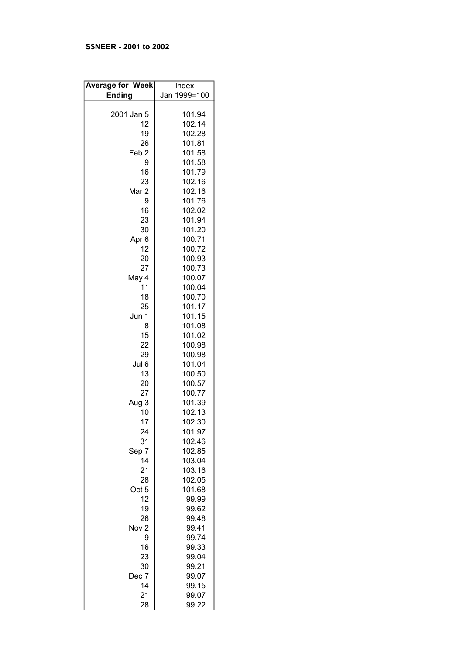# S\$NEER - 2001 to 2002

| <b>Average for Week</b> | Index        |
|-------------------------|--------------|
| <b>Ending</b>           | Jan 1999=100 |
|                         |              |
| 2001 Jan 5              | 101.94       |
| 12                      | 102.14       |
| 19                      | 102.28       |
|                         |              |
| 26                      | 101.81       |
| Feb <sub>2</sub>        | 101.58       |
| 9                       | 101.58       |
| 16                      | 101.79       |
| 23                      | 102.16       |
| Mar 2                   | 102.16       |
| 9                       | 101.76       |
| 16                      | 102.02       |
| 23                      | 101.94       |
| 30                      | 101.20       |
| Apr <sub>6</sub>        | 100.71       |
| 12                      | 100.72       |
| 20                      | 100.93       |
|                         | 100.73       |
| 27                      |              |
| May 4                   | 100.07       |
| 11                      | 100.04       |
| 18                      | 100.70       |
| 25                      | 101.17       |
| Jun 1                   | 101.15       |
| 8                       | 101.08       |
| 15                      | 101.02       |
| 22                      | 100.98       |
| 29                      | 100.98       |
| Jul 6                   | 101.04       |
| 13                      | 100.50       |
| 20                      | 100.57       |
| 27                      | 100.77       |
| Aug 3                   | 101.39       |
|                         |              |
| 10                      | 102.13       |
| 17                      | 102.30       |
| 24                      | 101.97       |
| 31                      | 102.46       |
| Sep 7                   | 102.85       |
| 14                      | 103.04       |
| 21                      | 103.16       |
| 28                      | 102.05       |
| Oct 5                   | 101.68       |
| 12                      | 99.99        |
| 19                      | 99.62        |
| 26                      | 99.48        |
| Nov <sub>2</sub>        | 99.41        |
| 9                       | 99.74        |
| 16                      | 99.33        |
| 23                      | 99.04        |
| 30                      | 99.21        |
| Dec 7                   |              |
|                         | 99.07        |
| 14                      | 99.15        |
| 21                      | 99.07        |
| 28                      | 99.22        |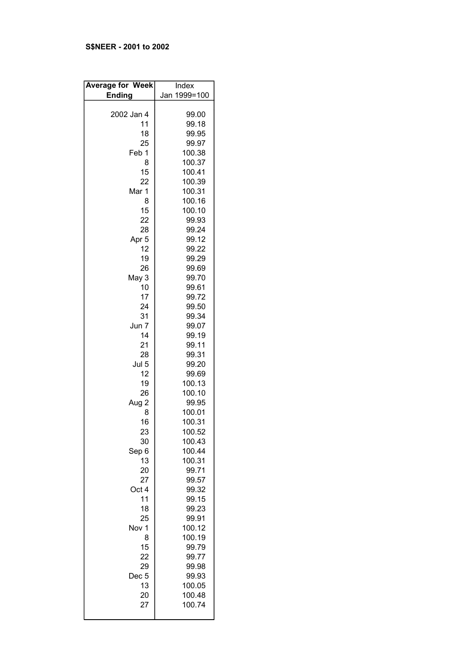# S\$NEER - 2001 to 2002

| <b>Average for Week</b> | Index          |
|-------------------------|----------------|
| <b>Ending</b>           | Jan 1999=100   |
|                         |                |
| 2002 Jan 4              | 99.00          |
| 11                      | 99.18          |
| 18                      | 99.95          |
| 25                      | 99.97          |
| Feb 1                   | 100.38         |
| 8                       | 100.37         |
| 15                      | 100.41         |
| 22                      | 100.39         |
| Mar 1                   | 100.31         |
| 8                       | 100.16         |
| 15                      | 100.10         |
| 22                      | 99.93          |
| 28                      | 99.24          |
| Apr <sub>5</sub>        | 99.12          |
| 12                      | 99.22          |
| 19                      | 99.29          |
| 26                      | 99.69          |
| May 3                   | 99.70          |
| 10                      | 99.61          |
| 17                      | 99.72          |
| 24                      | 99.50          |
| 31                      | 99.34          |
| Jun 7                   | 99.07          |
| 14                      | 99.19          |
| 21                      | 99.11          |
| 28<br>Jul 5             | 99.31          |
| 12                      | 99.20<br>99.69 |
| 19                      | 100.13         |
| 26                      | 100.10         |
| Aug 2                   | 99.95          |
| 8                       | 100.01         |
| 16                      | 100.31         |
| 23                      | 100.52         |
| 30                      | 100.43         |
| Sep 6                   | 100.44         |
| 13                      | 100.31         |
| 20                      | 99.71          |
| 27                      | 99.57          |
| Oct 4                   | 99.32          |
| 11                      | 99.15          |
| 18                      | 99.23          |
| 25                      | 99.91          |
| Nov 1                   | 100.12         |
| 8                       | 100.19         |
| 15                      | 99.79          |
| 22                      | 99.77          |
| 29                      | 99.98          |
| Dec <sub>5</sub>        | 99.93          |
| 13                      | 100.05         |
| 20                      | 100.48         |
| 27                      | 100.74         |
|                         |                |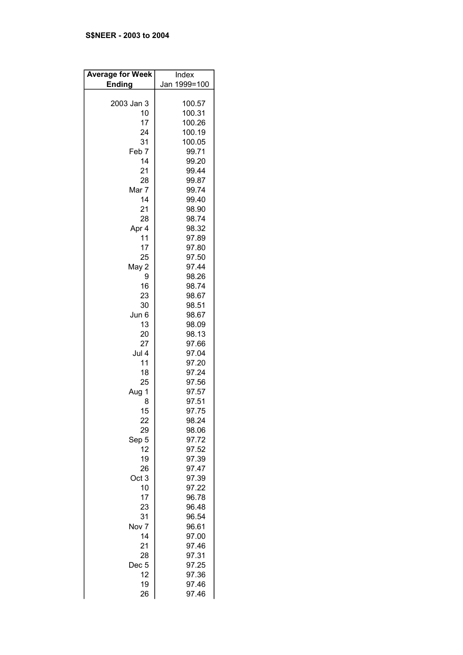# S\$NEER - 2003 to 2004

| <b>Average for Week</b> | Index        |
|-------------------------|--------------|
| <b>Ending</b>           | Jan 1999=100 |
|                         |              |
| 2003 Jan 3              | 100.57       |
| 10                      | 100.31       |
| 17                      | 100.26       |
| 24                      | 100.19       |
| 31                      | 100.05       |
| Feb <sub>7</sub>        | 99.71        |
| 14                      | 99.20        |
| 21                      | 99.44        |
| 28                      | 99.87        |
| Mar 7                   | 99.74        |
| 14                      | 99.40        |
| 21                      | 98.90        |
| 28                      | 98.74        |
|                         |              |
| Apr 4                   | 98.32        |
| 11                      | 97.89        |
| 17                      | 97.80        |
| 25                      | 97.50        |
| May 2                   | 97.44        |
| 9                       | 98.26        |
| 16                      | 98.74        |
| 23                      | 98.67        |
| 30                      | 98.51        |
| Jun 6                   | 98.67        |
| 13                      | 98.09        |
| 20                      | 98.13        |
| 27                      | 97.66        |
| Jul 4                   | 97.04        |
| 11                      | 97.20        |
| 18                      | 97.24        |
| 25                      | 97.56        |
| Aug 1                   | 97.57        |
| 8                       | 97.51        |
| 15                      | 97.75        |
|                         |              |
| 22                      | 98.24        |
| 29                      | 98.06        |
| Sep 5                   | 97.72        |
| 12                      | 97.52        |
| 19                      | 97.39        |
| 26                      | 97.47        |
| Oct <sub>3</sub>        | 97.39        |
| 10                      | 97.22        |
| 17                      | 96.78        |
| 23                      | 96.48        |
| 31                      | 96.54        |
| Nov <sub>7</sub>        | 96.61        |
| 14                      | 97.00        |
| 21                      | 97.46        |
| 28                      | 97.31        |
| Dec <sub>5</sub>        | 97.25        |
| 12                      | 97.36        |
| 19                      | 97.46        |
| 26                      | 97.46        |
|                         |              |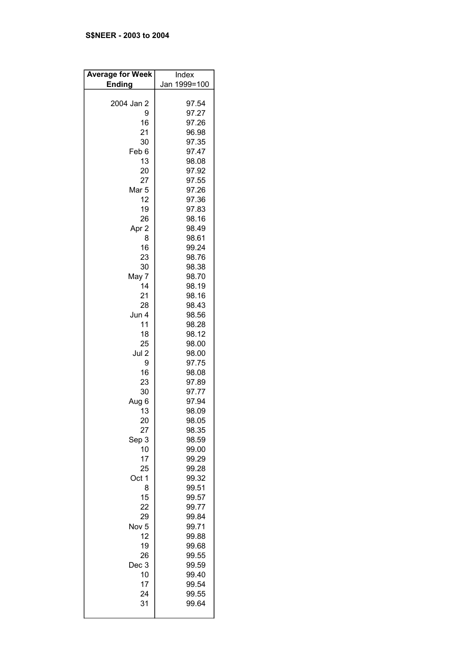| <b>Average for Week</b>                                                                                                                                                                                                                                                                                             | Index                                                                                                                                                                                                                                                                                                                                                                                                  |
|---------------------------------------------------------------------------------------------------------------------------------------------------------------------------------------------------------------------------------------------------------------------------------------------------------------------|--------------------------------------------------------------------------------------------------------------------------------------------------------------------------------------------------------------------------------------------------------------------------------------------------------------------------------------------------------------------------------------------------------|
|                                                                                                                                                                                                                                                                                                                     |                                                                                                                                                                                                                                                                                                                                                                                                        |
| <b>Ending</b><br>2004 Jan 2<br>9<br>16<br>21<br>30<br>Feb 6<br>13<br>20<br>27<br>Mar <sub>5</sub><br>12<br>19<br>26<br>Apr 2<br>8<br>16<br>23<br>30<br>May 7<br>14<br>21<br>28<br>Jun 4<br>11<br>18<br>25<br>Jul 2<br>9<br>16<br>23<br>30<br>Aug 6<br>13<br>20<br>27<br>Sep 3<br>10<br>17<br>25<br>Oct 1<br>8<br>15 | Jan 1999=100<br>97.54<br>97.27<br>97.26<br>96.98<br>97.35<br>97.47<br>98.08<br>97.92<br>97.55<br>97.26<br>97.36<br>97.83<br>98.16<br>98.49<br>98.61<br>99.24<br>98.76<br>98.38<br>98.70<br>98.19<br>98.16<br>98.43<br>98.56<br>98.28<br>98.12<br>98.00<br>98.00<br>97.75<br>98.08<br>97.89<br>97.77<br>97.94<br>98.09<br>98.05<br>98.35<br>98.59<br>99.00<br>99.29<br>99.28<br>99.32<br>99.51<br>99.57 |
|                                                                                                                                                                                                                                                                                                                     |                                                                                                                                                                                                                                                                                                                                                                                                        |
| 22<br>29<br>Nov <sub>5</sub><br>12<br>19<br>26<br>Dec 3<br>10<br>17<br>24<br>31                                                                                                                                                                                                                                     | 99.77<br>99.84<br>99.71<br>99.88<br>99.68<br>99.55<br>99.59<br>99.40<br>99.54<br>99.55<br>99.64                                                                                                                                                                                                                                                                                                        |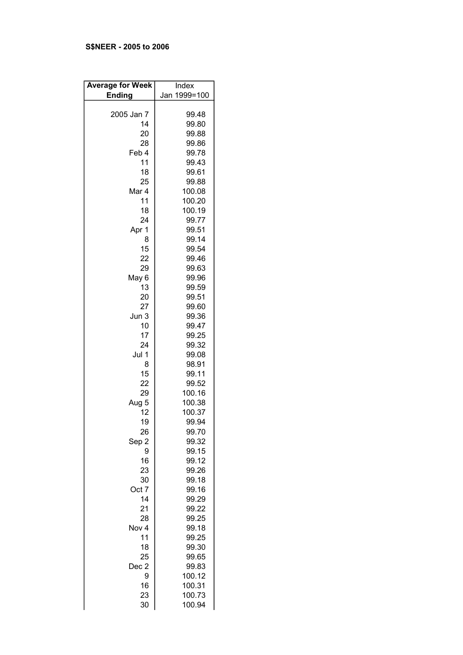# S\$NEER - 2005 to 2006

| <b>Average for Week</b> | Index        |
|-------------------------|--------------|
| <b>Ending</b>           | Jan 1999=100 |
|                         |              |
| 2005 Jan 7              | 99.48        |
| 14                      | 99.80        |
| 20                      | 99.88        |
| 28                      | 99.86        |
| Feb 4                   | 99.78        |
| 11                      |              |
|                         | 99.43        |
| 18                      | 99.61        |
| 25                      | 99.88        |
| Mar 4                   | 100.08       |
| 11                      | 100.20       |
| 18                      | 100.19       |
| 24                      | 99.77        |
| Apr 1                   | 99.51        |
| 8                       | 99.14        |
| 15                      | 99.54        |
| 22                      | 99.46        |
| 29                      | 99.63        |
| May 6                   | 99.96        |
| 13                      | 99.59        |
| 20                      | 99.51        |
| 27                      | 99.60        |
| Jun 3                   | 99.36        |
| 10                      | 99.47        |
| 17                      | 99.25        |
| 24                      | 99.32        |
| Jul 1                   | 99.08        |
| 8                       | 98.91        |
| 15                      | 99.11        |
| 22                      | 99.52        |
| 29                      | 100.16       |
| Aug 5                   | 100.38       |
| 12                      | 100.37       |
| 19                      | 99.94        |
| 26                      | 99.70        |
| Sep 2                   | 99.32        |
| 9                       | 99.15        |
| 16                      | 99.12        |
| 23                      | 99.26        |
| 30                      | 99.18        |
| Oct 7                   | 99.16        |
| 14                      | 99.29        |
| 21                      | 99.22        |
| 28                      | 99.25        |
| Nov 4                   | 99.18        |
| 11                      | 99.25        |
| 18                      | 99.30        |
| 25                      | 99.65        |
| Dec 2                   | 99.83        |
| 9                       | 100.12       |
| 16                      | 100.31       |
| 23                      | 100.73       |
| 30                      | 100.94       |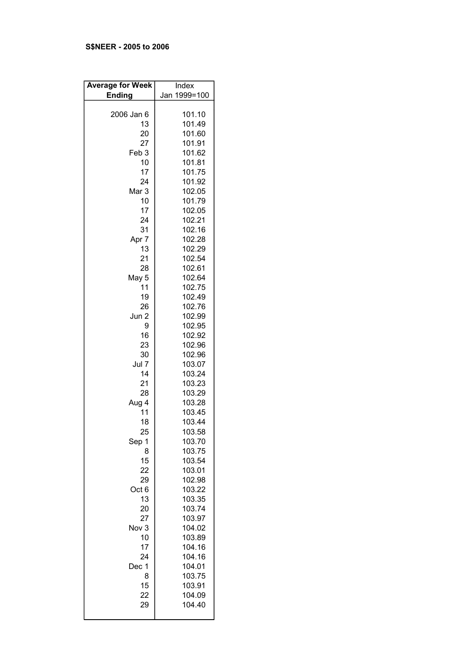# S\$NEER - 2005 to 2006

| <b>Average for Week</b> | Index            |
|-------------------------|------------------|
| <b>Ending</b>           | Jan 1999=100     |
| 2006 Jan 6              | 101.10           |
| 13                      | 101.49           |
| 20                      | 101.60           |
| 27                      | 101.91           |
| Feb <sub>3</sub>        | 101.62           |
| 10                      | 101.81           |
| 17                      | 101.75           |
| 24                      | 101.92           |
| Mar <sub>3</sub>        | 102.05           |
| 10                      | 101.79           |
| 17                      | 102.05           |
| 24                      | 102.21           |
| 31                      | 102.16           |
| Apr 7                   | 102.28           |
| 13                      | 102.29           |
| 21                      | 102.54           |
| 28                      | 102.61<br>102.64 |
| May 5<br>11             | 102.75           |
| 19                      | 102.49           |
| 26                      | 102.76           |
| Jun 2                   | 102.99           |
| 9                       | 102.95           |
| 16                      | 102.92           |
| 23                      | 102.96           |
| 30                      | 102.96           |
| Jul 7                   | 103.07           |
| 14                      | 103.24           |
| 21                      | 103.23           |
| 28                      | 103.29           |
| Aug 4                   | 103.28           |
| 11                      | 103.45           |
| 18                      | 103.44<br>103.58 |
| 25<br>Sep 1             | 103.70           |
| 8                       | 103.75           |
| 15                      | 103.54           |
| 22                      | 103.01           |
| 29                      | 102.98           |
| Oct 6                   | 103.22           |
| 13                      | 103.35           |
| 20                      | 103.74           |
| 27                      | 103.97           |
| Nov 3                   | 104.02           |
| 10                      | 103.89           |
| 17                      | 104.16           |
| 24                      | 104.16           |
| Dec 1                   | 104.01           |
| 8                       | 103.75           |
| 15                      | 103.91           |
| 22<br>29                | 104.09<br>104.40 |
|                         |                  |
|                         |                  |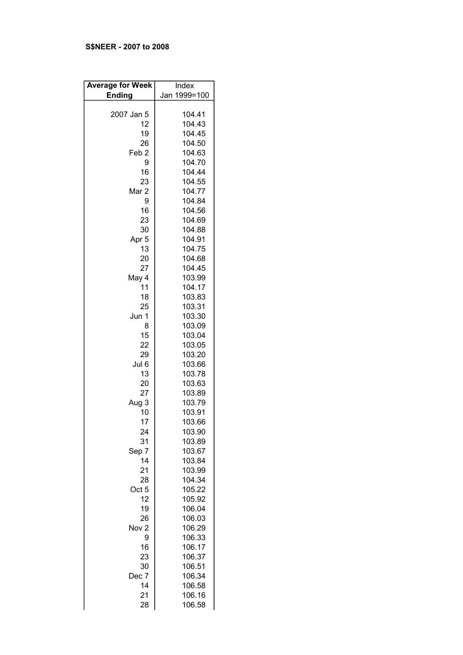# S\$NEER - 2007 to 2008

| <b>Average for Week</b> | Index        |
|-------------------------|--------------|
|                         |              |
| <b>Ending</b>           | Jan 1999=100 |
|                         |              |
| 2007 Jan 5              | 104.41       |
| 12                      | 104.43       |
|                         |              |
| 19                      | 104.45       |
| 26                      | 104.50       |
| Feb <sub>2</sub>        | 104.63       |
| 9                       | 104.70       |
|                         |              |
| 16                      | 104.44       |
| 23                      | 104.55       |
| Mar <sub>2</sub>        | 104.77       |
| 9                       | 104.84       |
|                         |              |
| 16                      | 104.56       |
| 23                      | 104.69       |
| 30                      | 104.88       |
| Apr <sub>5</sub>        | 104.91       |
|                         |              |
| 13                      | 104.75       |
| 20                      | 104.68       |
| 27                      | 104.45       |
| May 4                   | 103.99       |
| 11                      | 104.17       |
|                         |              |
| 18                      | 103.83       |
| 25                      | 103.31       |
| Jun 1                   | 103.30       |
| 8                       | 103.09       |
| 15                      | 103.04       |
|                         |              |
| 22                      | 103.05       |
| 29                      | 103.20       |
| Jul 6                   | 103.66       |
| 13                      | 103.78       |
| 20                      | 103.63       |
|                         |              |
| 27                      | 103.89       |
| Aug 3                   | 103.79       |
| 10                      | 103.91       |
| 17                      | 103.66       |
| 24                      | 103.90       |
|                         |              |
| 31                      | 103.89       |
| Sep 7                   | 103.67       |
| 14                      | 103.84       |
| 21                      | 103.99       |
| 28                      | 104.34       |
|                         |              |
| Oct 5                   | 105.22       |
| 12                      | 105.92       |
| 19                      | 106.04       |
| 26                      | 106.03       |
| Nov <sub>2</sub>        | 106.29       |
|                         |              |
| 9                       | 106.33       |
| 16                      | 106.17       |
| 23                      | 106.37       |
| 30                      | 106.51       |
| Dec 7                   | 106.34       |
|                         |              |
| 14                      | 106.58       |
| 21                      | 106.16       |
| 28                      | 106.58       |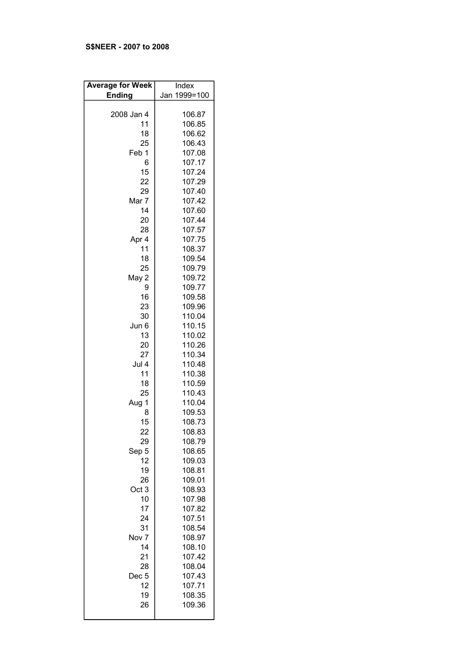# S\$NEER - 2007 to 2008

| <b>Average for Week</b> | Index        |
|-------------------------|--------------|
| <b>Ending</b>           | Jan 1999=100 |
|                         |              |
| 2008 Jan 4              | 106.87       |
| 11                      | 106.85       |
| 18                      | 106.62       |
| 25                      | 106.43       |
| Feb 1                   | 107.08       |
| 6                       | 107.17       |
| 15                      | 107.24       |
| 22                      | 107.29       |
| 29                      | 107.40       |
| Mar 7                   | 107.42       |
| 14                      | 107.60       |
| 20                      | 107.44       |
| 28                      | 107.57       |
| Apr 4                   | 107.75       |
| 11                      | 108.37       |
| 18                      |              |
|                         | 109.54       |
| 25                      | 109.79       |
| May 2                   | 109.72       |
| 9                       | 109.77       |
| 16                      | 109.58       |
| 23                      | 109.96       |
| 30                      | 110.04       |
| Jun 6                   | 110.15       |
| 13                      | 110.02       |
| 20                      | 110.26       |
| 27                      | 110.34       |
| Jul 4                   | 110.48       |
| 11                      | 110.38       |
| 18                      | 110.59       |
| 25                      | 110.43       |
| Aug 1                   | 110.04       |
| 8                       | 109.53       |
| 15                      | 108.73       |
| 22                      | 108.83       |
| 29                      | 108.79       |
| Sep 5                   | 108.65       |
| 12                      | 109.03       |
| 19                      | 108.81       |
| 26                      | 109.01       |
| Oct <sub>3</sub>        | 108.93       |
| 10                      | 107.98       |
| 17                      | 107.82       |
| 24                      | 107.51       |
|                         |              |
| 31                      | 108.54       |
| Nov <sub>7</sub>        | 108.97       |
| 14                      | 108.10       |
| 21                      | 107.42       |
| 28                      | 108.04       |
| Dec <sub>5</sub>        | 107.43       |
| 12                      | 107.71       |
| 19                      | 108.35       |
| 26                      | 109.36       |
|                         |              |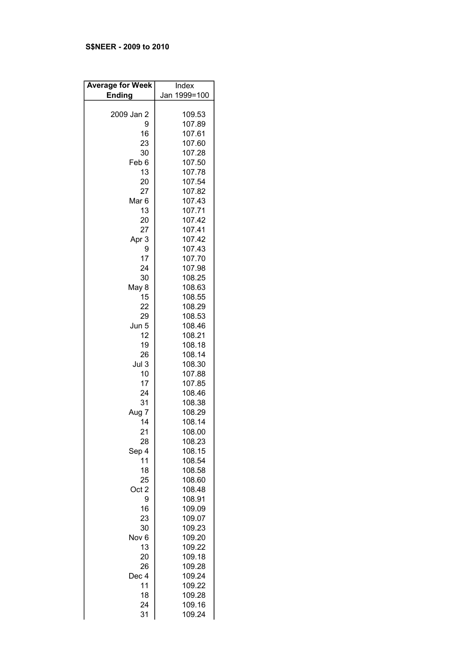# S\$NEER - 2009 to 2010

| <b>Average for Week</b> | Index            |
|-------------------------|------------------|
| <b>Ending</b>           | Jan 1999=100     |
|                         |                  |
| 2009 Jan 2              | 109.53           |
| 9                       | 107.89           |
| 16                      | 107.61           |
| 23                      | 107.60           |
| 30                      | 107.28           |
| Feb 6                   | 107.50           |
| 13                      | 107.78           |
| 20                      | 107.54           |
| 27                      | 107.82           |
| Mar <sub>6</sub>        | 107.43           |
| 13                      | 107.71           |
| 20                      | 107.42           |
| 27                      | 107.41           |
| Apr 3                   | 107.42           |
| 9                       | 107.43           |
| 17                      | 107.70           |
| 24                      | 107.98           |
| 30                      | 108.25           |
| May 8                   | 108.63           |
| 15                      | 108.55           |
| 22                      | 108.29           |
| 29                      | 108.53           |
| Jun 5                   | 108.46           |
| 12                      | 108.21           |
| 19                      | 108.18           |
| 26                      | 108.14           |
| Jul 3                   | 108.30           |
| 10                      | 107.88           |
| 17                      | 107.85           |
| 24                      | 108.46           |
| 31                      | 108.38           |
| Aug 7                   | 108.29           |
| 14                      | 108.14           |
| 21                      | 108.00           |
| 28                      | 108.23           |
| Sep 4                   | 108.15           |
| 11                      | 108.54           |
| 18                      | 108.58           |
| 25                      | 108.60           |
| Oct 2                   | 108.48           |
| 9                       | 108.91           |
| 16                      |                  |
| 23                      | 109.09<br>109.07 |
| 30                      |                  |
| Nov <sub>6</sub>        | 109.23<br>109.20 |
| 13                      | 109.22           |
| 20                      | 109.18           |
| 26                      | 109.28           |
| Dec 4                   | 109.24           |
| 11                      | 109.22           |
| 18                      | 109.28           |
| 24                      | 109.16           |
| 31                      | 109.24           |
|                         |                  |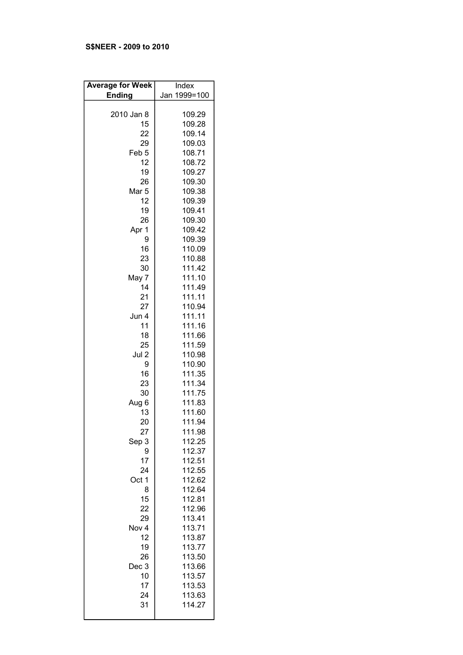# S\$NEER - 2009 to 2010

| <b>Average for Week</b> | Index        |
|-------------------------|--------------|
| <b>Ending</b>           | Jan 1999=100 |
|                         |              |
| 2010 Jan 8              | 109.29       |
| 15                      | 109.28       |
| 22                      | 109.14       |
| 29                      | 109.03       |
| Feb <sub>5</sub>        | 108.71       |
| 12                      | 108.72       |
| 19                      | 109.27       |
| 26                      | 109.30       |
| Mar <sub>5</sub>        | 109.38       |
| 12                      | 109.39       |
| 19                      | 109.41       |
| 26                      | 109.30       |
| Apr 1                   | 109.42       |
| 9                       | 109.39       |
| 16                      | 110.09       |
| 23                      | 110.88       |
| 30                      | 111.42       |
| May 7                   | 111.10       |
| 14                      | 111.49       |
| 21                      | 111.11       |
| 27                      | 110.94       |
| Jun 4                   | 111.11       |
| 11                      | 111.16       |
| 18                      | 111.66       |
| 25                      | 111.59       |
| Jul 2                   | 110.98       |
| 9                       | 110.90       |
| 16                      | 111.35       |
| 23                      | 111.34       |
| 30                      | 111.75       |
| Aug 6                   | 111.83       |
| 13                      | 111.60       |
| 20                      | 111.94       |
| 27                      | 111.98       |
| Sep 3                   | 112.25       |
| 9                       | 112.37       |
| 17                      | 112.51       |
| 24                      | 112.55       |
| Oct 1                   | 112.62       |
| 8                       | 112.64       |
| 15                      | 112.81       |
| 22                      | 112.96       |
| 29                      | 113.41       |
| Nov 4                   | 113.71       |
| 12                      | 113.87       |
| 19                      | 113.77       |
| 26                      | 113.50       |
| Dec 3                   | 113.66       |
| 10                      | 113.57       |
| 17                      | 113.53       |
| 24                      | 113.63       |
| 31                      | 114.27       |
|                         |              |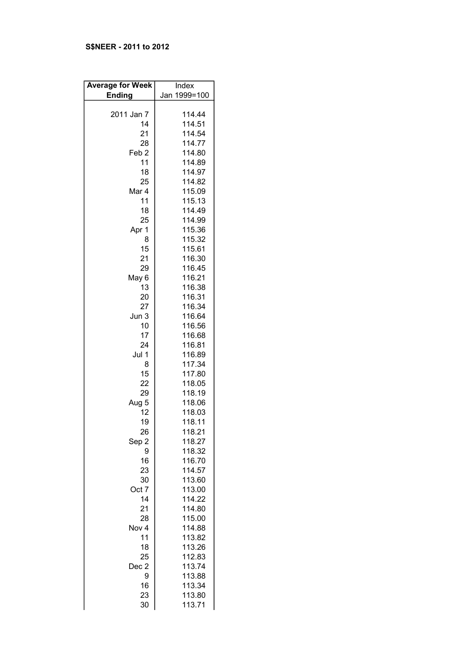# S\$NEER - 2011 to 2012

| <b>Average for Week</b> | Index        |
|-------------------------|--------------|
| <b>Ending</b>           | Jan 1999=100 |
|                         |              |
| 2011 Jan 7              | 114.44       |
| 14                      | 114.51       |
| 21                      | 114.54       |
| 28                      | 114.77       |
|                         |              |
| Feb <sub>2</sub>        | 114.80       |
| 11                      | 114.89       |
| 18                      | 114.97       |
| 25                      | 114.82       |
| Mar 4                   | 115.09       |
| 11                      | 115.13       |
| 18                      | 114.49       |
| 25                      | 114.99       |
| Apr 1                   | 115.36       |
| 8                       | 115.32       |
| 15                      | 115.61       |
| 21                      | 116.30       |
| 29                      | 116.45       |
| May 6                   | 116.21       |
| 13                      | 116.38       |
| 20                      | 116.31       |
| 27                      | 116.34       |
| Jun 3                   | 116.64       |
| 10                      | 116.56       |
| 17                      | 116.68       |
| 24                      | 116.81       |
| Jul 1                   | 116.89       |
| 8                       | 117.34       |
| 15                      |              |
|                         | 117.80       |
| 22                      | 118.05       |
| 29                      | 118.19       |
| Aug 5                   | 118.06       |
| 12                      | 118.03       |
| 19                      | 118.11       |
| 26                      | 118.21       |
| Sep 2                   | 118.27       |
| 9                       | 118.32       |
| 16                      | 116.70       |
| 23                      | 114.57       |
| 30                      | 113.60       |
| Oct 7                   | 113.00       |
| 14                      | 114.22       |
| 21                      | 114.80       |
| 28                      | 115.00       |
| Nov 4                   | 114.88       |
| 11                      | 113.82       |
| 18                      | 113.26       |
| 25                      | 112.83       |
| Dec 2                   | 113.74       |
| 9                       | 113.88       |
| 16                      | 113.34       |
| 23                      | 113.80       |
| 30                      | 113.71       |
|                         |              |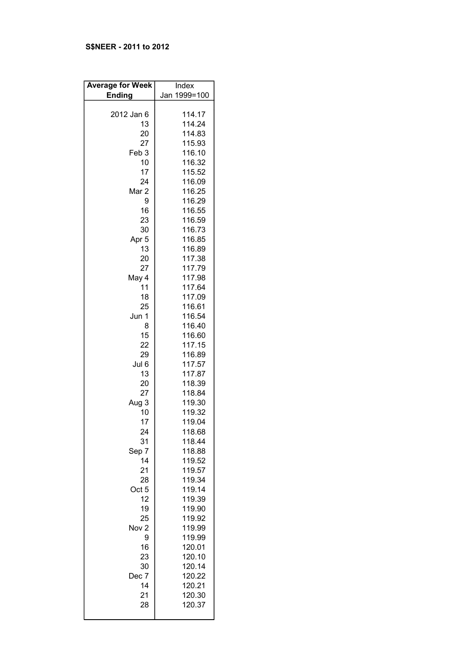# S\$NEER - 2011 to 2012

| <b>Average for Week</b> | Index            |
|-------------------------|------------------|
| <b>Ending</b>           | Jan 1999=100     |
| 2012 Jan 6              | 114.17           |
| 13                      | 114.24           |
| 20                      | 114.83           |
| 27                      | 115.93           |
| Feb <sub>3</sub>        | 116.10           |
| 10                      | 116.32           |
| 17                      | 115.52           |
| 24                      | 116.09           |
| Mar 2                   | 116.25           |
| 9                       | 116.29           |
| 16                      | 116.55           |
| 23                      | 116.59           |
| 30<br>Apr <sub>5</sub>  | 116.73<br>116.85 |
| 13                      | 116.89           |
| 20                      | 117.38           |
| 27                      | 117.79           |
| May 4                   | 117.98           |
| 11                      | 117.64           |
| 18                      | 117.09           |
| 25                      | 116.61           |
| Jun 1                   | 116.54           |
| 8                       | 116.40           |
| 15                      | 116.60           |
| 22                      | 117.15           |
| 29                      | 116.89           |
| Jul 6                   | 117.57           |
| 13<br>20                | 117.87<br>118.39 |
| 27                      | 118.84           |
| Aug 3                   | 119.30           |
| 10                      | 119.32           |
| 17                      | 119.04           |
| 24                      | 118.68           |
| 31                      | 118.44           |
| Sep 7                   | 118.88           |
| 14                      | 119.52           |
| 21                      | 119.57           |
| 28                      | 119.34           |
| Oct <sub>5</sub>        | 119.14           |
| 12                      | 119.39           |
| 19<br>25                | 119.90           |
| Nov <sub>2</sub>        | 119.92<br>119.99 |
| 9                       | 119.99           |
| 16                      | 120.01           |
| 23                      | 120.10           |
| 30                      | 120.14           |
| Dec 7                   | 120.22           |
| 14                      | 120.21           |
| 21                      | 120.30           |
| 28                      | 120.37           |
|                         |                  |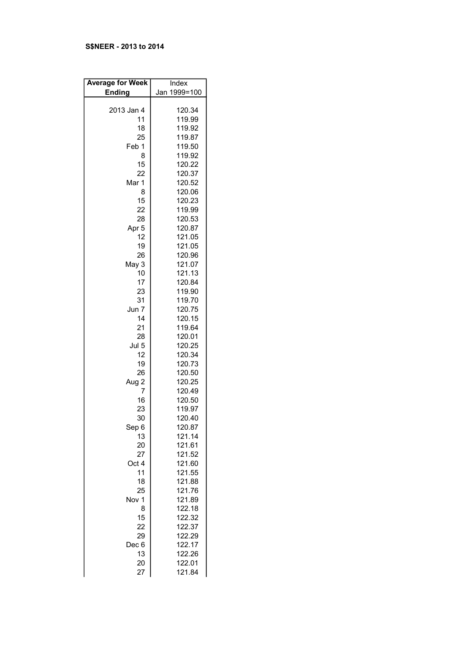## S\$NEER - 2013 to 2014

| <b>Average for Week</b> | Index        |
|-------------------------|--------------|
| <b>Ending</b>           | Jan 1999=100 |
|                         |              |
| 2013 Jan 4              | 120.34       |
| 11                      | 119.99       |
| 18                      | 119.92       |
| 25                      | 119.87       |
| Feb 1                   | 119.50       |
| 8                       | 119.92       |
| 15                      | 120.22       |
| 22                      | 120.37       |
| Mar 1                   | 120.52       |
| 8                       | 120.06       |
| 15                      | 120.23       |
| 22                      | 119.99       |
| 28                      | 120.53       |
| Apr <sub>5</sub>        | 120.87       |
| 12                      | 121.05       |
| 19                      | 121.05       |
| 26                      | 120.96       |
| May 3                   | 121.07       |
| 10                      | 121.13       |
| 17                      | 120.84       |
| 23                      | 119.90       |
| 31                      | 119.70       |
| Jun 7                   | 120.75       |
| 14                      | 120.15       |
| 21                      | 119.64       |
| 28                      | 120.01       |
| Jul 5                   | 120.25       |
| 12                      | 120.34       |
| 19                      | 120.73       |
| 26                      | 120.50       |
| Aug 2                   | 120.25       |
| 7                       | 120.49       |
| 16                      | 120.50       |
| 23                      | 119.97       |
| 30                      | 120.40       |
| Sep 6                   | 120.87       |
| 13                      | 121.14       |
| 20                      | 121.61       |
| 27                      | 121.52       |
| Oct 4                   | 121.60       |
| 11                      | 121.55       |
| 18                      | 121.88       |
| 25                      | 121.76       |
| Nov 1                   | 121.89       |
| 8                       | 122.18       |
| 15                      | 122.32       |
| 22                      | 122.37       |
| 29                      | 122.29       |
| Dec 6                   | 122.17       |
| 13                      | 122.26       |
| 20                      | 122.01       |
| 27                      | 121.84       |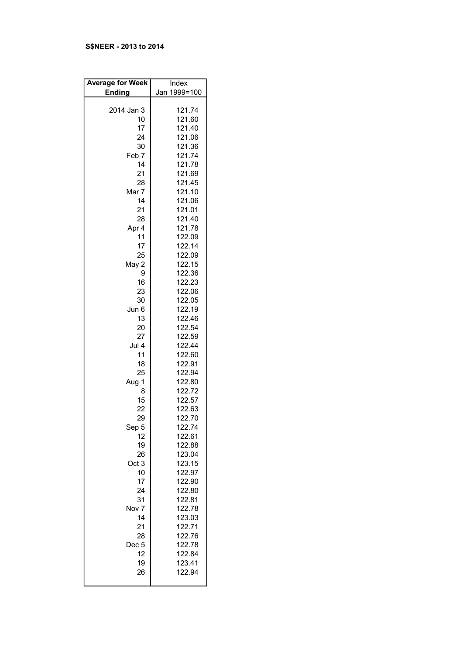## S\$NEER - 2013 to 2014

| <b>Average for Week</b> | Index            |
|-------------------------|------------------|
| <b>Ending</b>           | Jan 1999=100     |
|                         |                  |
| 2014 Jan 3              | 121.74           |
| 10                      | 121.60           |
| 17                      | 121.40           |
| 24                      | 121.06           |
| 30                      | 121.36           |
| Feb 7                   | 121.74           |
| 14<br>21                | 121.78           |
| 28                      | 121.69<br>121.45 |
| Mar 7                   | 121.10           |
| 14                      | 121.06           |
| 21                      | 121.01           |
| 28                      | 121.40           |
| Apr 4                   | 121.78           |
| 11                      | 122.09           |
| 17                      | 122.14           |
| 25                      | 122.09           |
| May 2                   | 122.15           |
| 9                       | 122.36           |
| 16                      | 122.23           |
| 23                      | 122.06           |
| 30                      | 122.05           |
| Jun 6                   | 122.19           |
| 13                      | 122.46           |
| 20                      | 122.54           |
| 27                      | 122.59           |
| Jul 4                   | 122.44           |
| 11<br>18                | 122.60<br>122.91 |
| 25                      | 122.94           |
| Aug 1                   | 122.80           |
| 8                       | 122.72           |
| 15                      | 122.57           |
| 22                      | 122.63           |
| 29                      | 122.70           |
| Sep 5                   | 122.74           |
| 12                      | 122.61           |
| 19                      | 122.88           |
| 26                      | 123.04           |
| Oct <sub>3</sub>        | 123.15           |
| 10                      | 122.97           |
| 17                      | 122.90           |
| 24                      | 122.80<br>122.81 |
| 31<br>Nov <sub>7</sub>  | 122.78           |
| 14                      | 123.03           |
| 21                      | 122.71           |
| 28                      | 122.76           |
| Dec 5                   | 122.78           |
| 12                      | 122.84           |
| 19                      | 123.41           |
| 26                      | 122.94           |
|                         |                  |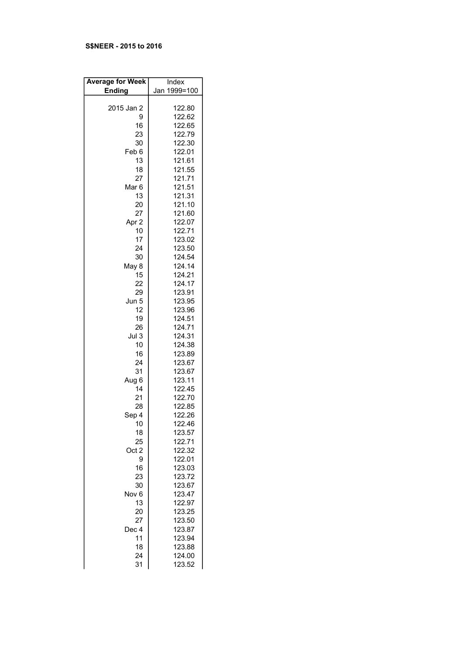#### S\$NEER - 2015 to 2016

| <b>Average for Week</b> | Index        |
|-------------------------|--------------|
| <b>Ending</b>           | Jan 1999=100 |
|                         |              |
| 2015 Jan 2              | 122.80       |
| 9                       | 122.62       |
| 16                      | 122.65       |
| 23                      | 122.79       |
| 30                      | 122.30       |
| Feb 6                   | 122.01       |
| 13                      | 121.61       |
| 18                      | 121.55       |
| 27                      | 121.71       |
| Mar <sub>6</sub>        | 121.51       |
| 13                      | 121.31       |
| 20                      | 121.10       |
| 27                      | 121.60       |
| Apr 2                   | 122.07       |
| 10                      | 122.71       |
| 17                      | 123.02       |
| 24                      | 123.50       |
| 30                      | 124.54       |
| May 8                   | 124.14       |
| 15                      | 124.21       |
| 22                      | 124.17       |
| 29                      | 123.91       |
| Jun 5                   | 123.95       |
| 12                      | 123.96       |
| 19                      | 124.51       |
| 26                      | 124.71       |
| Jul 3                   | 124.31       |
| 10                      | 124.38       |
| 16                      | 123.89       |
| 24                      | 123.67       |
| 31                      | 123.67       |
| Aug 6                   | 123.11       |
| 14                      | 122.45       |
| 21                      | 122.70       |
| 28                      | 122.85       |
| Sep 4                   | 122.26       |
| 10                      | 122.46       |
| 18                      | 123.57       |
| 25                      | 122.71       |
| Oct 2                   | 122.32       |
| 9                       | 122.01       |
| 16                      | 123.03       |
| 23                      | 123.72       |
| 30                      | 123.67       |
| Nov <sub>6</sub>        | 123.47       |
| 13                      | 122.97       |
| 20                      | 123.25       |
| 27                      | 123.50       |
| Dec 4                   | 123.87       |
| 11                      | 123.94       |
| 18                      | 123.88       |
| 24                      | 124.00       |
| 31                      | 123.52       |
|                         |              |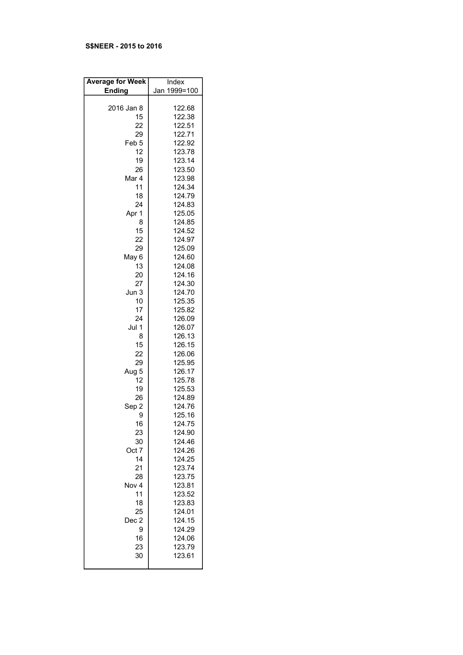### S\$NEER - 2015 to 2016

| <b>Average for Week</b> | Index            |
|-------------------------|------------------|
| <b>Ending</b>           | Jan 1999=100     |
|                         |                  |
| 2016 Jan 8              | 122.68           |
| 15                      | 122.38           |
| 22                      | 122.51           |
| 29                      | 122.71           |
| Feb <sub>5</sub>        | 122.92           |
| 12                      | 123.78           |
| 19                      | 123.14           |
| 26<br>Mar 4             | 123.50<br>123.98 |
| 11                      | 124.34           |
| 18                      | 124.79           |
| 24                      | 124.83           |
| Apr 1                   | 125.05           |
| 8                       | 124.85           |
| 15                      | 124.52           |
| 22                      | 124.97           |
| 29                      | 125.09           |
| May 6                   | 124.60           |
| 13                      | 124.08           |
| 20                      | 124.16           |
| 27                      | 124.30           |
| Jun 3                   | 124.70           |
| 10                      | 125.35           |
| 17                      | 125.82           |
| 24                      | 126.09           |
| Jul 1                   | 126.07           |
| 8                       | 126.13           |
| 15                      | 126.15           |
| 22                      | 126.06           |
| 29                      | 125.95           |
| Aug 5                   | 126.17           |
| 12                      | 125.78           |
| 19                      | 125.53           |
| 26                      | 124.89           |
| Sep 2                   | 124.76           |
| 9                       | 125.16           |
| 16                      | 124.75           |
| 23                      | 124.90<br>124.46 |
| 30<br>Oct 7             |                  |
| 14                      | 124.26<br>124.25 |
| 21                      | 123.74           |
| 28                      | 123.75           |
| Nov 4                   | 123.81           |
| 11                      | 123.52           |
| 18                      | 123.83           |
| 25                      | 124.01           |
| Dec 2                   | 124.15           |
| 9                       | 124.29           |
| 16                      | 124.06           |
| 23                      | 123.79           |
| 30                      | 123.61           |
|                         |                  |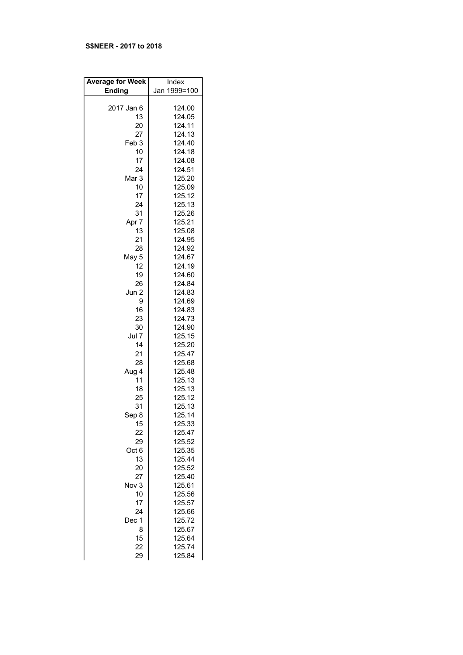#### S\$NEER - 2017 to 2018

| <b>Average for Week</b> | Index        |
|-------------------------|--------------|
| <b>Ending</b>           | Jan 1999=100 |
|                         |              |
| 2017 Jan 6              | 124.00       |
| 13                      | 124.05       |
| 20                      | 124.11       |
| 27                      | 124.13       |
|                         |              |
| Feb <sub>3</sub>        | 124.40       |
| 10                      | 124.18       |
| 17                      | 124.08       |
| 24                      | 124.51       |
| Mar 3                   | 125.20       |
| 10                      | 125.09       |
| 17                      | 125.12       |
| 24                      | 125.13       |
| 31                      | 125.26       |
| Apr 7                   | 125.21       |
| 13                      | 125.08       |
| 21                      | 124.95       |
| 28                      | 124.92       |
| May 5                   | 124.67       |
| 12                      | 124.19       |
| 19                      | 124.60       |
| 26                      | 124.84       |
| Jun 2                   | 124.83       |
| 9                       | 124.69       |
|                         |              |
| 16                      | 124.83       |
| 23                      | 124.73       |
| 30                      | 124.90       |
| Jul 7                   | 125.15       |
| 14                      | 125.20       |
| 21                      | 125.47       |
| 28                      | 125.68       |
| Aug 4                   | 125.48       |
| 11                      | 125.13       |
| 18                      | 125.13       |
| 25                      | 125.12       |
| 31                      | 125.13       |
| Sep 8                   | 125.14       |
| - 15                    | 125.33       |
| 22                      | 125.47       |
| 29                      | 125.52       |
| Oct 6                   | 125.35       |
| 13                      | 125.44       |
| 20                      | 125.52       |
| 27                      | 125.40       |
| Nov 3                   | 125.61       |
| 10                      | 125.56       |
|                         |              |
| 17                      | 125.57       |
| 24                      | 125.66       |
| Dec 1                   | 125.72       |
| 8                       | 125.67       |
| 15                      | 125.64       |
| 22                      | 125.74       |
| 29                      | 125.84       |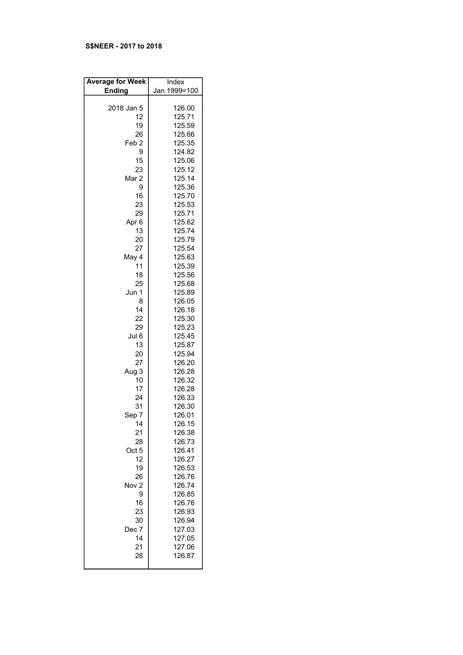### S\$NEER - 2017 to 2018

| <b>Average for Week</b> | Index                                |
|-------------------------|--------------------------------------|
| <b>Ending</b>           | Jan 1999=100                         |
| 2018 Jan 5              | 126.00                               |
| 12                      | 125.71                               |
| 19                      | 125.59                               |
| 26                      | 125.66                               |
| Feb <sub>2</sub>        | 125.35                               |
| 9                       | 124.82                               |
| 15                      | 125.06                               |
| 23                      | 125.12                               |
| Mar <sub>2</sub>        | 125.14                               |
| 9                       | 125.36                               |
| 16                      | 125.70                               |
| 23                      | 125.53                               |
| 29                      | 125.71                               |
| Apr <sub>6</sub>        | 125.62                               |
| 13                      | 125.74                               |
| 20                      | 125.79                               |
| 27                      | 125.54                               |
| May 4                   | 125.63                               |
| 11                      | 125.39                               |
| 18                      | 125.56                               |
| 25                      | 125.68                               |
| Jun 1                   | 125.89                               |
| 8                       | 126.05                               |
| 14                      | 126.18                               |
| 22                      | 125.30                               |
| 29                      | 125.23                               |
| Jul 6                   | 125.45                               |
| 13                      | 125.87                               |
| 20                      | 125.94                               |
| 27                      | 126.20                               |
| Aug 3                   | 126.28                               |
| 10                      | 126.32                               |
| 17                      | 126.28                               |
| 24                      | 126.33                               |
| 31                      | 126.30                               |
| Sep 7                   | 126.01                               |
| -14                     | 126.15                               |
| 21                      | 126.38                               |
| 28                      | 126.73                               |
| Oct 5                   | 126.41                               |
| 12                      | 126.27                               |
| 19                      | 126.53                               |
| 26                      | 126.76                               |
| Nov <sub>2</sub>        | 126.74                               |
| 9                       | 126.85                               |
| 16<br>23<br>30<br>Dec 7 | 126.76<br>126.93<br>126.94           |
| 14<br>21<br>28          | 127.03<br>127.05<br>127.06<br>126.87 |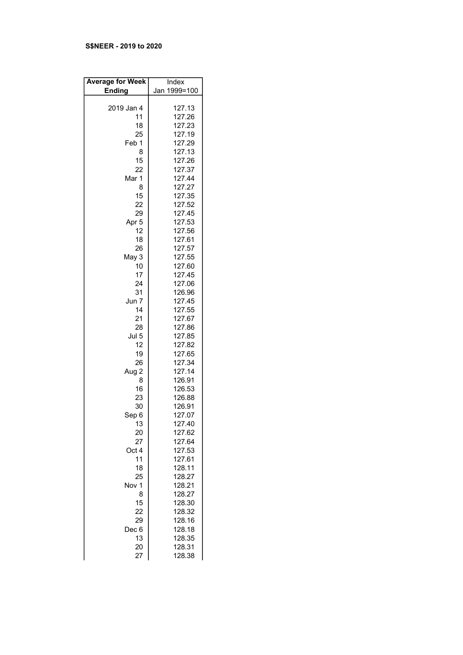## S\$NEER - 2019 to 2020

| <b>Average for Week</b> | Index            |
|-------------------------|------------------|
| <b>Ending</b>           | Jan 1999=100     |
|                         |                  |
| 2019 Jan 4              | 127.13           |
| 11                      | 127.26           |
| 18                      | 127.23           |
| 25                      | 127.19           |
| Feb 1                   | 127.29           |
| 8                       | 127.13           |
| 15                      | 127.26           |
| 22                      | 127.37           |
| Mar 1                   | 127.44           |
| 8                       | 127.27           |
| 15                      | 127.35           |
| 22                      | 127.52           |
| 29                      | 127.45           |
| Apr <sub>5</sub>        | 127.53           |
| 12                      | 127.56           |
| 18                      | 127.61           |
| 26                      | 127.57           |
| May 3                   | 127.55           |
| 10                      | 127.60           |
| 17                      | 127.45           |
| 24                      | 127.06           |
| 31                      | 126.96           |
| Jun 7                   | 127.45           |
| 14                      | 127.55           |
| 21                      | 127.67           |
| 28<br>Jul 5             | 127.86<br>127.85 |
| 12                      | 127.82           |
| 19                      | 127.65           |
| 26                      | 127.34           |
| Aug 2                   | 127.14           |
| 8                       | 126.91           |
| 16                      | 126.53           |
| 23                      | 126.88           |
| 30                      | 126.91           |
| Sep 6                   | 127.07           |
| 13                      | 127.40           |
| 20                      | 127.62           |
| 27                      | 127.64           |
| Oct 4                   | 127.53           |
| 11                      | 127.61           |
| 18                      | 128.11           |
| 25                      | 128.27           |
| Nov 1                   | 128.21           |
| 8                       | 128.27           |
| 15                      | 128.30           |
| 22                      | 128.32           |
| 29                      | 128.16           |
| Dec 6                   | 128.18           |
| 13                      | 128.35<br>128.31 |
| 20<br>27                | 128.38           |
|                         |                  |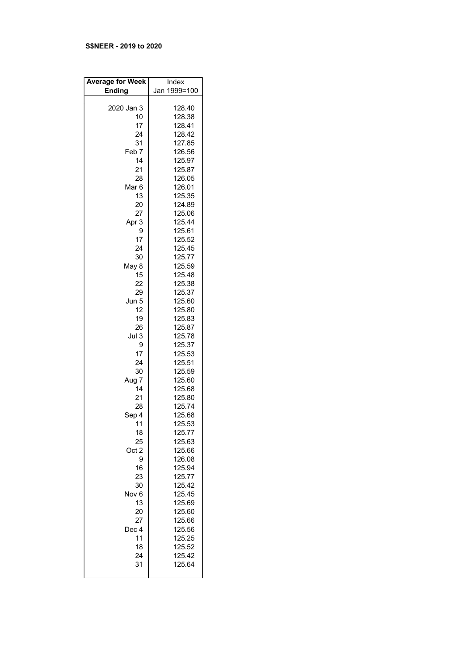## S\$NEER - 2019 to 2020

| <b>Average for Week</b> | Index            |
|-------------------------|------------------|
| <b>Ending</b>           | Jan 1999=100     |
|                         |                  |
| 2020 Jan 3              | 128.40           |
| 10                      | 128.38           |
| 17                      | 128.41           |
| 24                      | 128.42           |
| 31                      | 127.85           |
| Feb 7                   | 126.56           |
| 14                      | 125.97           |
| 21                      | 125.87           |
| 28<br>Mar <sub>6</sub>  | 126.05<br>126.01 |
| 13                      | 125.35           |
| 20                      | 124.89           |
| 27                      | 125.06           |
| Apr 3                   | 125.44           |
| 9                       | 125.61           |
| 17                      | 125.52           |
| 24                      | 125.45           |
| 30                      | 125.77           |
| May 8                   | 125.59           |
| 15                      | 125.48           |
| 22                      | 125.38           |
| 29                      | 125.37           |
| Jun 5                   | 125.60           |
| 12                      | 125.80           |
| 19                      | 125.83           |
| 26                      | 125.87           |
| Jul <sub>3</sub>        | 125.78           |
| 9                       | 125.37           |
| 17                      | 125.53           |
| 24                      | 125.51           |
| 30<br>Aug 7             | 125.59<br>125.60 |
| 14                      | 125.68           |
| 21                      | 125.80           |
| 28                      | 125.74           |
| Sep 4                   | 125.68           |
| 11                      | 125.53           |
| 18                      | 125.77           |
| 25                      | 125.63           |
| Oct 2                   | 125.66           |
| 9                       | 126.08           |
| 16                      | 125.94           |
| 23                      | 125.77           |
| 30                      | 125.42           |
| Nov <sub>6</sub>        | 125.45           |
| 13                      | 125.69           |
| 20                      | 125.60           |
| 27                      | 125.66           |
| Dec 4                   | 125.56           |
| 11                      | 125.25           |
| 18<br>24                | 125.52<br>125.42 |
| 31                      | 125.64           |
|                         |                  |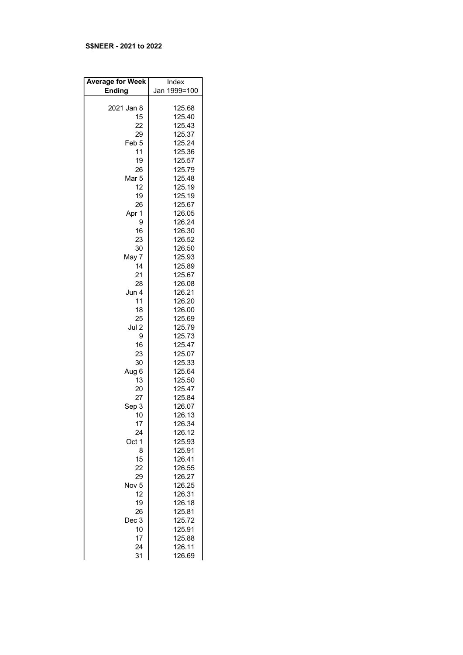## S\$NEER - 2021 to 2022

| <b>Average for Week</b> | Index        |
|-------------------------|--------------|
| <b>Ending</b>           | Jan 1999=100 |
|                         |              |
| 2021 Jan 8              | 125.68       |
| 15                      | 125.40       |
| 22                      | 125.43       |
| 29                      | 125.37       |
|                         |              |
| Feb <sub>5</sub>        | 125.24       |
| 11                      | 125.36       |
| 19                      | 125.57       |
| 26                      | 125.79       |
| Mar <sub>5</sub>        | 125.48       |
| 12                      | 125.19       |
| 19                      | 125.19       |
| 26                      | 125.67       |
| Apr 1                   | 126.05       |
| 9                       | 126.24       |
| 16                      | 126.30       |
| 23                      | 126.52       |
| 30                      | 126.50       |
| May 7                   | 125.93       |
| 14                      | 125.89       |
| 21                      | 125.67       |
| 28                      | 126.08       |
| Jun 4                   | 126.21       |
| 11                      | 126.20       |
| 18                      | 126.00       |
| 25                      | 125.69       |
| Jul 2                   | 125.79       |
| 9                       | 125.73       |
| 16                      | 125.47       |
|                         |              |
| 23                      | 125.07       |
| 30                      | 125.33       |
| Aug 6                   | 125.64       |
| 13                      | 125.50       |
| 20                      | 125.47       |
| 27                      | 125.84       |
| Sep 3                   | 126.07       |
| 10                      | 126.13       |
| 17                      | 126.34       |
| 24                      | 126.12       |
| Oct 1                   | 125.93       |
| 8                       | 125.91       |
| 15                      | 126.41       |
| 22                      | 126.55       |
| 29                      | 126.27       |
| Nov <sub>5</sub>        | 126.25       |
| 12                      | 126.31       |
| 19                      | 126.18       |
| 26                      | 125.81       |
| Dec 3                   | 125.72       |
| 10                      | 125.91       |
| 17                      | 125.88       |
| 24                      | 126.11       |
| 31                      | 126.69       |